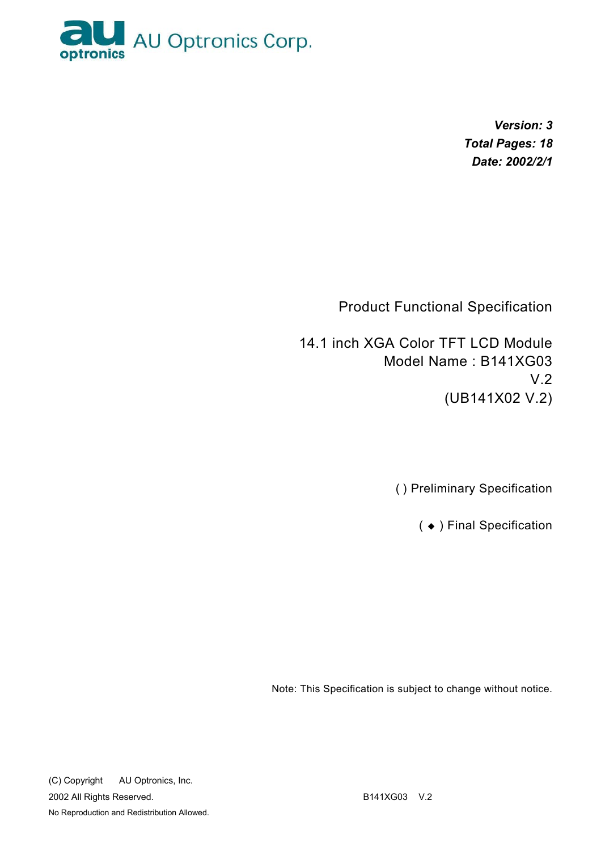

*Version: 3 Total Pages: 18 Date: 2002/2/1* 

Product Functional Specification

14.1 inch XGA Color TFT LCD Module Model Name : B141XG03 V.2 (UB141X02 V.2)

( ) Preliminary Specification

( $\leftrightarrow$ ) Final Specification

Note: This Specification is subject to change without notice.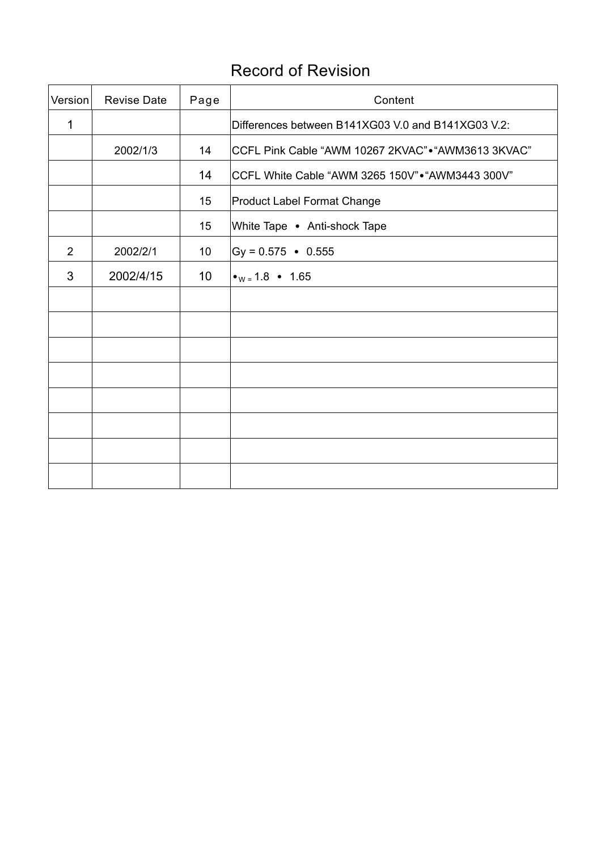# Record of Revision

| Version        | <b>Revise Date</b> | Page | Content                                             |
|----------------|--------------------|------|-----------------------------------------------------|
| 1              |                    |      | Differences between B141XG03 V.0 and B141XG03 V.2:  |
|                | 2002/1/3           | 14   | CCFL Pink Cable "AWM 10267 2KVAC" . "AWM3613 3KVAC" |
|                |                    | 14   | CCFL White Cable "AWM 3265 150V". "AWM3443 300V"    |
|                |                    | 15   | Product Label Format Change                         |
|                |                    | 15   | White Tape • Anti-shock Tape                        |
| $\overline{2}$ | 2002/2/1           | 10   | $Gy = 0.575$ • 0.555                                |
| 3              | 2002/4/15          | 10   | • $W = 1.8$ • 1.65                                  |
|                |                    |      |                                                     |
|                |                    |      |                                                     |
|                |                    |      |                                                     |
|                |                    |      |                                                     |
|                |                    |      |                                                     |
|                |                    |      |                                                     |
|                |                    |      |                                                     |
|                |                    |      |                                                     |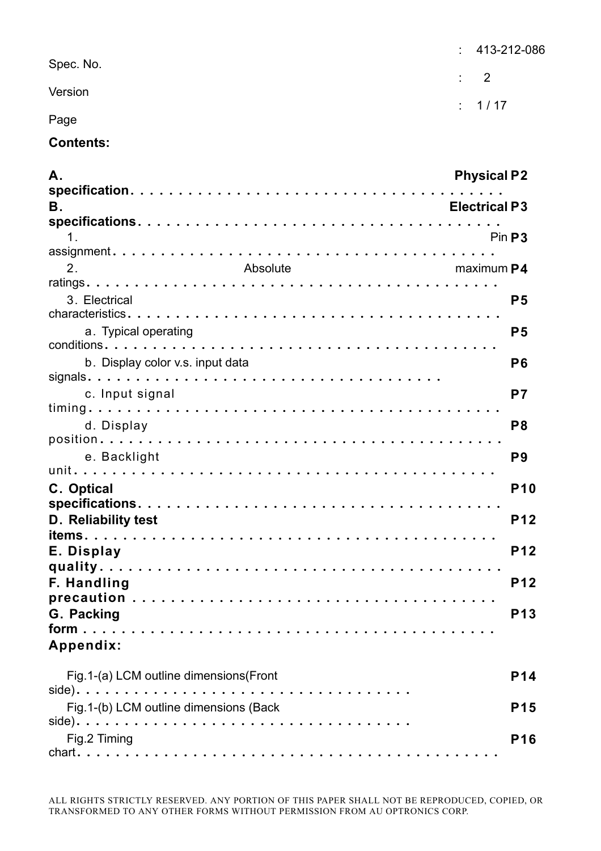|           | $: 413 - 212 - 086$ |
|-----------|---------------------|
| Spec. No. | $\therefore$ 2      |
| Version   | $\therefore$ 1/17   |
| Page      |                     |

# **Contents:**

| А.                                       |          | <b>Physical P2</b>   |
|------------------------------------------|----------|----------------------|
| В.                                       |          | <b>Electrical P3</b> |
|                                          |          |                      |
| 1.                                       |          | Pin P <sub>3</sub>   |
|                                          |          |                      |
| 2.                                       | Absolute | maximum P4           |
|                                          |          |                      |
| 3. Electrical                            |          | P <sub>5</sub>       |
|                                          |          |                      |
| a. Typical operating                     |          | P <sub>5</sub>       |
|                                          |          |                      |
| b. Display color v.s. input data         |          | P <sub>6</sub>       |
|                                          |          |                      |
| c. Input signal                          |          | P7                   |
|                                          |          |                      |
| d. Display                               |          | P <sub>8</sub>       |
|                                          |          |                      |
| e. Backlight                             |          | P <sub>9</sub>       |
|                                          |          |                      |
| C. Optical                               |          | P10                  |
|                                          |          |                      |
| D. Reliability test                      |          | <b>P12</b>           |
|                                          |          |                      |
| E. Display                               |          | P <sub>12</sub>      |
|                                          |          | <b>P12</b>           |
| F. Handling                              |          |                      |
| G. Packing                               |          | P <sub>13</sub>      |
|                                          |          |                      |
| Appendix:                                |          |                      |
| Fig. 1-(a) LCM outline dimensions (Front |          | <b>P14</b>           |
|                                          |          |                      |
| Fig.1-(b) LCM outline dimensions (Back   |          | <b>P15</b>           |
|                                          |          |                      |
| Fig.2 Timing                             |          | P <sub>16</sub>      |

ALL RIGHTS STRICTLY RESERVED. ANY PORTION OF THIS PAPER SHALL NOT BE REPRODUCED, COPIED, OR TRANSFORMED TO ANY OTHER FORMS WITHOUT PERMISSION FROM AU OPTRONICS CORP.

chart............................................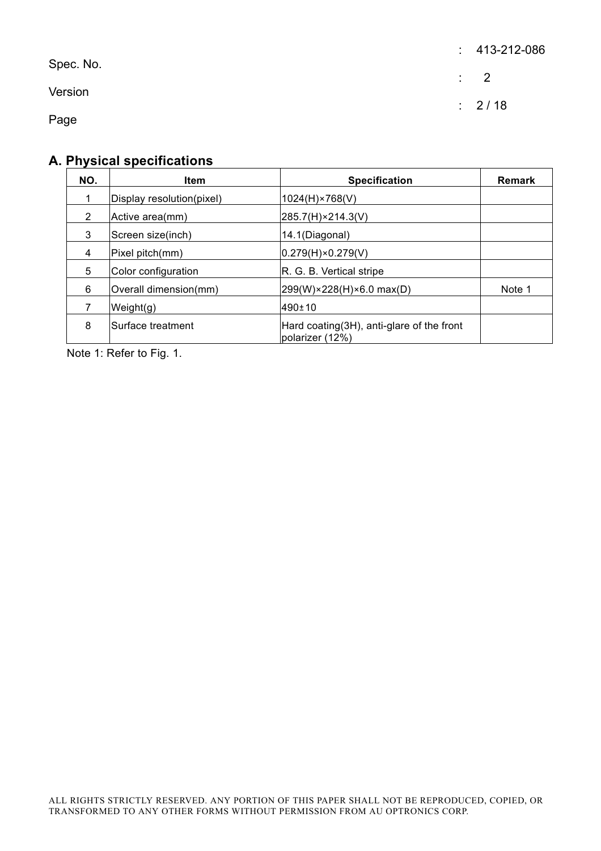|           | $\therefore$ 413-212-086 |
|-----------|--------------------------|
| Spec. No. | $\therefore$ 2           |
| Version   | $\frac{1}{2}$ / 18       |
| Page      |                          |

# **A. Physical specifications**

| NO. | <b>Item</b>               | <b>Specification</b>                                         | <b>Remark</b> |
|-----|---------------------------|--------------------------------------------------------------|---------------|
|     | Display resolution(pixel) | $1024(H) \times 768(V)$                                      |               |
| 2   | Active area(mm)           | 285.7(H)×214.3(V)                                            |               |
| 3   | Screen size(inch)         | 14.1(Diagonal)                                               |               |
| 4   | Pixel pitch(mm)           | $ 0.279(H)\times0.279(V) $                                   |               |
| 5   | Color configuration       | R. G. B. Vertical stripe                                     |               |
| 6   | Overall dimension(mm)     | 299(W)×228(H)×6.0 max(D)                                     | Note 1        |
|     | Weight(g)                 | 490±10                                                       |               |
| 8   | Surface treatment         | Hard coating(3H), anti-glare of the front<br>polarizer (12%) |               |

Note 1: Refer to Fig. 1.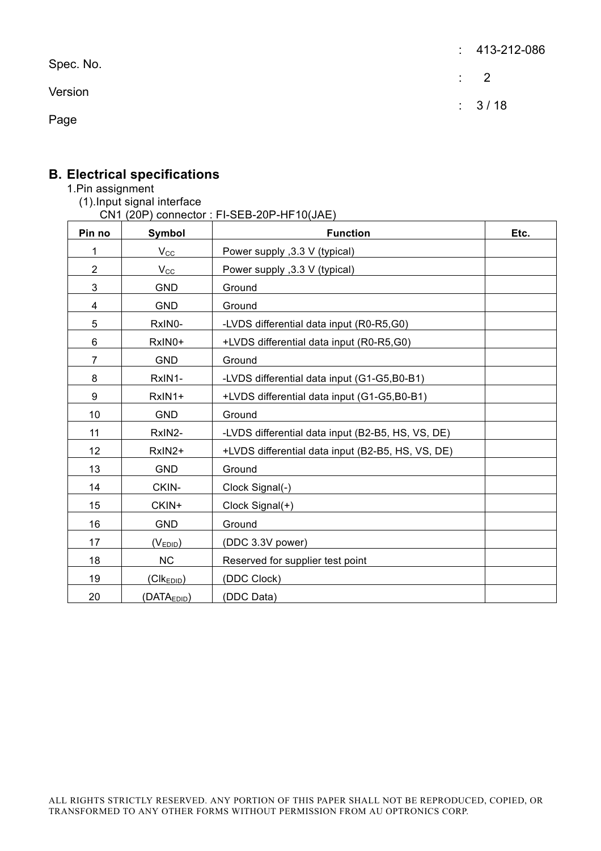| Spec. No. | $: 413-212-086$    |
|-----------|--------------------|
|           | $\therefore$ 2     |
| Version   | $\frac{1}{2}$ 3/18 |
| Page      |                    |

# **B. Electrical specifications**

#### 1.Pin assignment

(1).Input signal interface

CN1 (20P) connector : FI-SEB-20P-HF10(JAE)

| Pin no         | Symbol                  | <b>Function</b>                                   | Etc. |
|----------------|-------------------------|---------------------------------------------------|------|
| 1              | $V_{\rm CC}$            | Power supply , 3.3 V (typical)                    |      |
| $\overline{2}$ | $V_{\rm CC}$            | Power supply , 3.3 V (typical)                    |      |
| 3              | <b>GND</b>              | Ground                                            |      |
| 4              | <b>GND</b>              | Ground                                            |      |
| 5              | RxIN0-                  | -LVDS differential data input (R0-R5,G0)          |      |
| 6              | RxIN0+                  | +LVDS differential data input (R0-R5,G0)          |      |
| $\overline{7}$ | <b>GND</b>              | Ground                                            |      |
| 8              | RxIN1-                  | -LVDS differential data input (G1-G5,B0-B1)       |      |
| 9              | RxIN1+                  | +LVDS differential data input (G1-G5,B0-B1)       |      |
| 10             | <b>GND</b>              | Ground                                            |      |
| 11             | RxIN2-                  | -LVDS differential data input (B2-B5, HS, VS, DE) |      |
| 12             | RxIN2+                  | +LVDS differential data input (B2-B5, HS, VS, DE) |      |
| 13             | <b>GND</b>              | Ground                                            |      |
| 14             | CKIN-                   | Clock Signal(-)                                   |      |
| 15             | CKIN+                   | Clock Signal(+)                                   |      |
| 16             | <b>GND</b>              | Ground                                            |      |
| 17             | $(V_{EDID})$            | (DDC 3.3V power)                                  |      |
| 18             | <b>NC</b>               | Reserved for supplier test point                  |      |
| 19             | (CIK <sub>EDID</sub> )  | (DDC Clock)                                       |      |
| 20             | (DATA <sub>EDID</sub> ) | (DDC Data)                                        |      |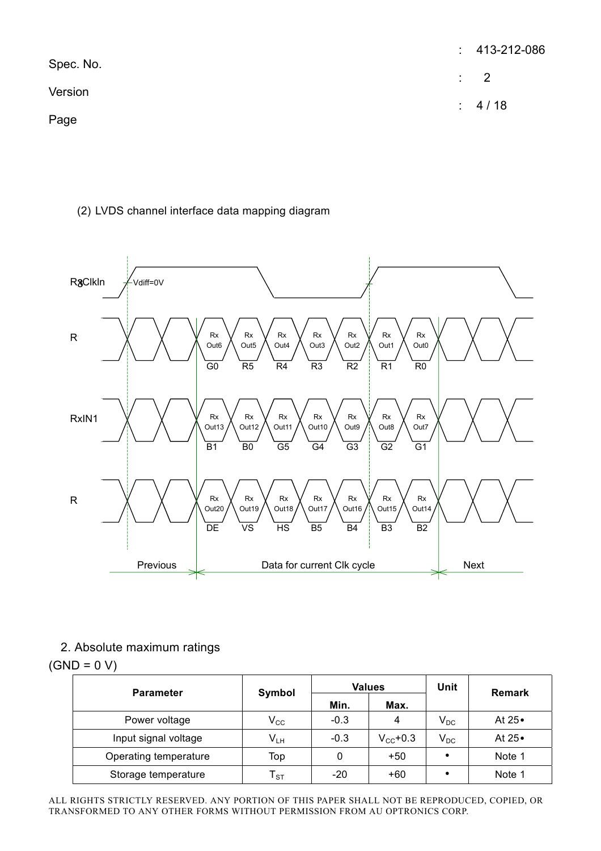|           | $: 413 - 212 - 086$ |
|-----------|---------------------|
| Spec. No. | $\therefore$ 2      |
| Version   |                     |
| Page      | $\frac{1}{2}$ 4/18  |

(2) LVDS channel interface data mapping diagram



# 2. Absolute maximum ratings

 $(GND = 0 V)$ 

| <b>Parameter</b>      | Symbol                     |        | <b>Values</b>     | Unit      | <b>Remark</b>   |
|-----------------------|----------------------------|--------|-------------------|-----------|-----------------|
|                       |                            | Min.   | Max.              |           |                 |
| Power voltage         | $\mathsf{V}_{\mathsf{CC}}$ | $-0.3$ | 4                 | $V_{DC}$  | At $25 \bullet$ |
| Input signal voltage  | $V_{LH}$                   | $-0.3$ | $V_{\rm CC}$ +0.3 | $V_{DC}$  | At $25 \bullet$ |
| Operating temperature | Top                        |        | $+50$             | $\bullet$ | Note 1          |
| Storage temperature   | $T_{\text{ST}}$            | $-20$  | $+60$             | $\bullet$ | Note 1          |

ALL RIGHTS STRICTLY RESERVED. ANY PORTION OF THIS PAPER SHALL NOT BE REPRODUCED, COPIED, OR TRANSFORMED TO ANY OTHER FORMS WITHOUT PERMISSION FROM AU OPTRONICS CORP.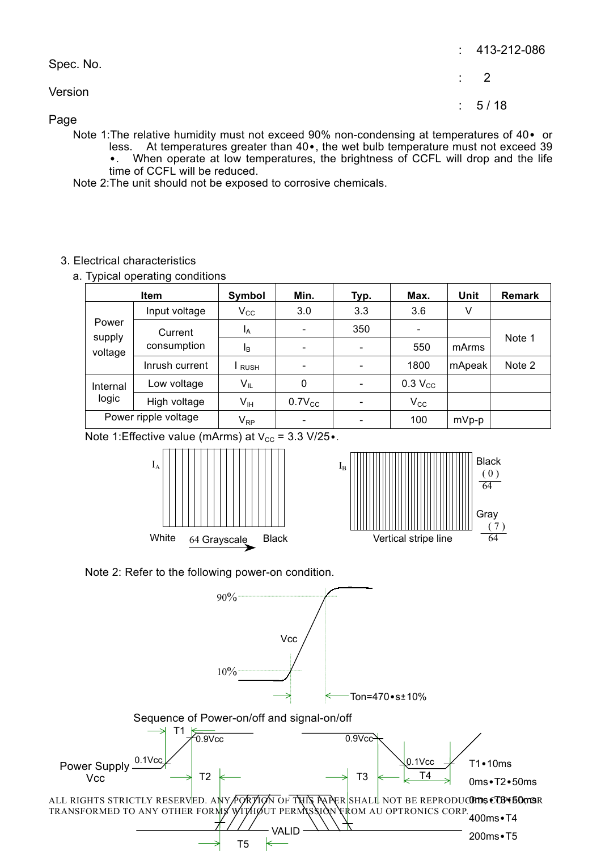|           | $\therefore$ 413-212-086 |
|-----------|--------------------------|
| Spec. No. | $\therefore$ 2           |
| Version   | $\frac{1}{2}$ 5/18       |
| Page      |                          |

Note 1: The relative humidity must not exceed 90% non-condensing at temperatures of 40 $\bullet$  or less. At temperatures greater than 40•, the wet bulb temperature must not exceed 39 •. When operate at low temperatures, the brightness of CCFL will drop and the life time of CCFL will be reduced.

Note 2:The unit should not be exposed to corrosive chemicals.

#### 3. Electrical characteristics

a. Typical operating conditions

|                            | <b>Item</b>    | Symbol          | Min.        | Typ.                     | Max.                     | Unit   | Remark |
|----------------------------|----------------|-----------------|-------------|--------------------------|--------------------------|--------|--------|
| Power<br>supply<br>voltage | Input voltage  | $V_{\rm CC}$    | 3.0         | 3.3                      | 3.6                      | v      |        |
|                            | Current        | Iд.             |             | 350                      | $\overline{\phantom{a}}$ |        |        |
|                            | consumption    | I <sub>B</sub>  |             | $\overline{\phantom{a}}$ | 550                      | mArms  | Note 1 |
|                            | Inrush current | <b>RUSH</b>     |             |                          | 1800                     | mApeak | Note 2 |
| Internal<br>logic          | Low voltage    | $V_{IL}$        | 0           | $\overline{\phantom{a}}$ | $0.3 V_{CC}$             |        |        |
|                            | High voltage   | $V_{\text{IH}}$ | $0.7V_{CC}$ |                          | $V_{\rm CC}$             |        |        |
| Power ripple voltage       |                | $V_{RP}$        |             |                          | 100                      | mVp-p  |        |

Note 1:Effective value (mArms) at  $V_{\text{cc}}$  = 3.3 V/25 $\bullet$ .







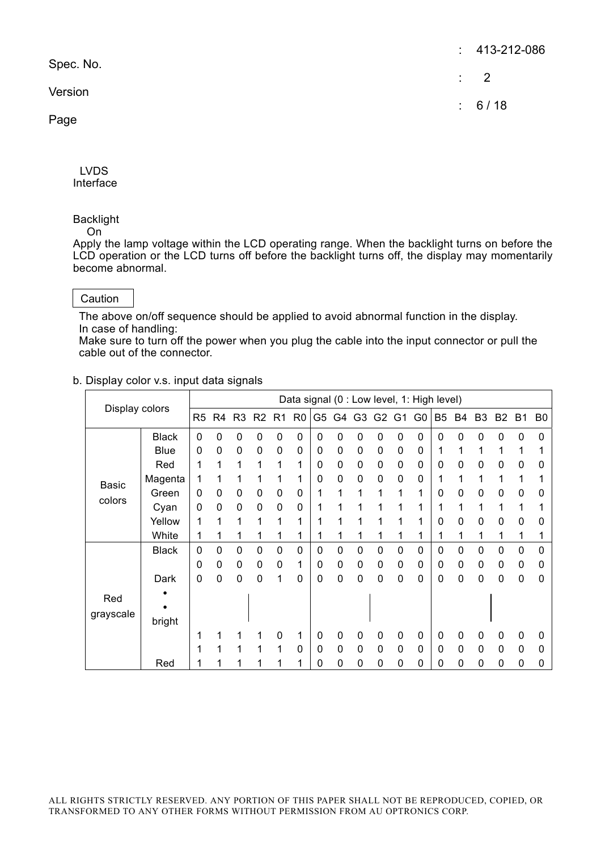| Spec. No. | $: 413 - 212 - 086$ |
|-----------|---------------------|
|           | $\therefore$ 2      |
| Version   | $\frac{1}{2}$ 6/18  |
| Page      |                     |

 LVDS Interface

Backlight On

Apply the lamp voltage within the LCD operating range. When the backlight turns on before the LCD operation or the LCD turns off before the backlight turns off, the display may momentarily become abnormal.

#### **Caution**

The above on/off sequence should be applied to avoid abnormal function in the display. In case of handling:

Make sure to turn off the power when you plug the cable into the input connector or pull the cable out of the connector.

|                |              |                | Data signal (0 : Low level, 1: High level) |                |          |                               |                |                |          |                |             |             |                |                |              |                |                |           |                |
|----------------|--------------|----------------|--------------------------------------------|----------------|----------|-------------------------------|----------------|----------------|----------|----------------|-------------|-------------|----------------|----------------|--------------|----------------|----------------|-----------|----------------|
| Display colors |              | R <sub>5</sub> | R <sub>4</sub>                             | R <sub>3</sub> |          | R <sub>2</sub> R <sub>1</sub> | R <sub>0</sub> | G <sub>5</sub> | G4       | G <sub>3</sub> |             | G2 G1       | G <sub>0</sub> | B <sub>5</sub> | <b>B4</b>    | B <sub>3</sub> | B <sub>2</sub> | <b>B1</b> | B <sub>0</sub> |
|                | <b>Black</b> | 0              | 0                                          | $\mathbf 0$    | $\Omega$ | 0                             | $\mathbf 0$    | 0              | 0        | $\mathbf 0$    | 0           | 0           | $\mathbf{0}$   | 0              | 0            | 0              | 0              | 0         | 0              |
|                | <b>Blue</b>  | 0              | 0                                          | 0              | 0        | $\mathbf 0$                   | 0              | 0              | 0        | 0              | 0           | 0           | 0              | 1              | 1            | 1              | 1              | 1         |                |
|                | Red          | 1              | 1                                          | 1              | 1        | 1                             | 1              | 0              | 0        | 0              | 0           | $\mathbf 0$ | 0              | 0              | $\mathbf 0$  | 0              | 0              | 0         | 0              |
| <b>Basic</b>   | Magenta      | 1              |                                            |                |          |                               | 1              | 0              | 0        | 0              | $\mathbf 0$ | $\mathbf 0$ | $\mathbf 0$    |                | 1            |                |                | 1         |                |
| colors         | Green        | $\mathbf 0$    | 0                                          | 0              | 0        | $\mathbf 0$                   | $\mathbf 0$    | 1              | 1        | 1              | 1           | 1           | 1              | 0              | $\mathbf 0$  | 0              | $\mathbf 0$    | 0         | 0              |
|                | Cyan         | 0              | 0                                          | 0              | 0        | 0                             | $\mathbf 0$    |                |          | 1              |             | 1           |                |                | 1            | 1              | 1              | 1         |                |
|                | Yellow       | 1              |                                            |                | 1        | 4                             | 1              |                | 1        | 1              |             | 1           | 1              | 0              | $\mathbf 0$  | 0              | 0              | 0         | 0              |
|                | White        | 1              |                                            |                |          |                               | 1              |                |          | 1              |             |             |                |                | 1            |                |                |           |                |
|                | <b>Black</b> | 0              | 0                                          | 0              | 0        | $\mathbf 0$                   | $\mathbf 0$    | 0              | 0        | 0              | $\mathbf 0$ | $\mathbf 0$ | $\mathbf 0$    | $\mathbf{0}$   | 0            | 0              | 0              | 0         | 0              |
|                |              | 0              | 0                                          | 0              | 0        | 0                             | 1              | 0              | 0        | 0              | 0           | 0           | 0              | 0              | $\pmb{0}$    | 0              | 0              | 0         | 0              |
|                | Dark         | $\mathbf 0$    | 0                                          | $\mathbf 0$    | 0        | 1                             | $\mathbf 0$    | 0              | 0        | 0              | 0           | 0           | $\mathbf 0$    | $\mathbf 0$    | $\mathbf 0$  | 0              | 0              | 0         | 0              |
| Red            |              |                |                                            |                |          |                               |                |                |          |                |             |             |                |                |              |                |                |           |                |
| grayscale      |              |                |                                            |                |          |                               |                |                |          |                |             |             |                |                |              |                |                |           |                |
|                | bright       |                |                                            |                |          |                               |                |                |          |                |             |             |                |                |              |                |                |           |                |
|                |              |                |                                            |                |          | $\mathbf{0}$                  | 1              | 0              | 0        | 0              | 0           | 0           | 0              | 0              | 0            | 0              | 0              | 0         | 0              |
|                |              | 4              |                                            |                |          | 1                             | $\mathbf 0$    | $\Omega$       | $\Omega$ | $\mathbf 0$    | $\mathbf 0$ | $\mathbf 0$ | $\mathbf 0$    | $\Omega$       | $\mathbf 0$  | 0              | $\mathbf 0$    | 0         | 0              |
|                | Red          |                |                                            |                |          |                               | 1              | 0              | 0        | 0              | 0           | 0           | 0              | 0              | $\mathbf{0}$ | 0              | 0              | 0         | 0              |

b. Display color v.s. input data signals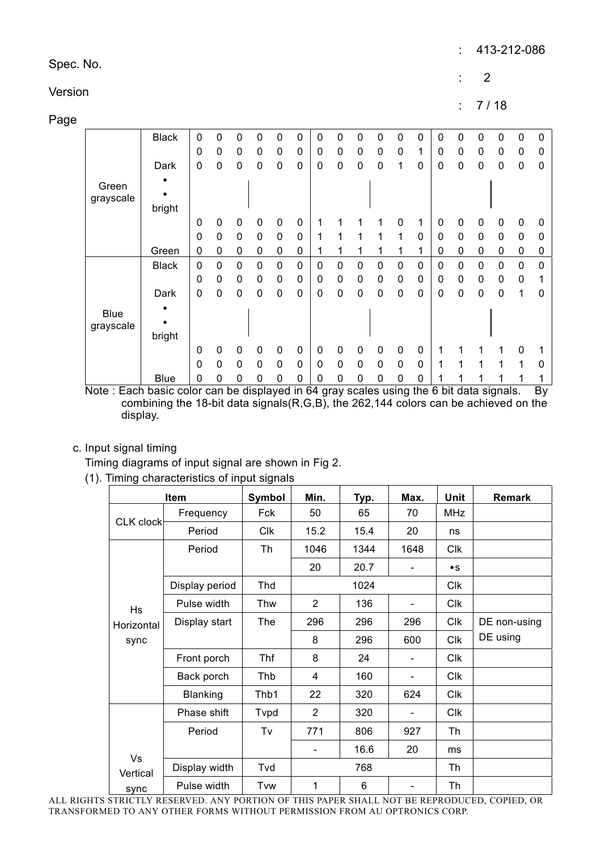Version

Page

# : 2

## $: 7/18$

|             | <b>Black</b> | 0 | 0           | 0           | 0           | $\mathbf 0$ | 0            | 0 | $\Omega$    | 0           | 0            | $\Omega$    | $\mathbf 0$ | 0 | 0           | 0           | $\mathbf{0}$ | 0           | 0        |
|-------------|--------------|---|-------------|-------------|-------------|-------------|--------------|---|-------------|-------------|--------------|-------------|-------------|---|-------------|-------------|--------------|-------------|----------|
|             |              | 0 | 0           | 0           | $\mathbf 0$ | 0           | 0            | 0 | 0           | $\pmb{0}$   | 0            | 0           | 1           | 0 | 0           | 0           | 0            | 0           | 0        |
|             | Dark         | 0 | 0           | 0           | $\mathbf 0$ | 0           | 0            | 0 | 0           | 0           | 0            | 1           | 0           | 0 | $\pmb{0}$   | 0           | 0            | $\mathbf 0$ | 0        |
| Green       |              |   |             |             |             |             |              |   |             |             |              |             |             |   |             |             |              |             |          |
| grayscale   |              |   |             |             |             |             |              |   |             |             |              |             |             |   |             |             |              |             |          |
|             | bright       |   |             |             |             |             |              |   |             |             |              |             |             |   |             |             |              |             |          |
|             |              | 0 | 0           | 0           | $\mathbf 0$ | 0           | 0            | 1 | 1           | 1           | 1            | $\mathbf 0$ | 1           | 0 | $\pmb{0}$   | 0           | 0            | 0           | 0        |
|             |              | 0 | $\pmb{0}$   | 0           | $\mathbf 0$ | 0           | 0            | 1 | 1           | 1           | $\mathbf{1}$ | $\mathbf 1$ | 0           | 0 | $\pmb{0}$   | 0           | 0            | 0           | 0        |
|             | Green        | 0 | 0           | 0           | $\mathbf 0$ | 0           | 0            | 1 | 1           | 1           | 1            | 1           | 1           | 0 | $\mathbf 0$ | 0           | 0            | 0           | 0        |
|             | <b>Black</b> | 0 | 0           | $\mathbf 0$ | $\mathbf 0$ | 0           | $\mathbf{0}$ | 0 | $\mathbf 0$ | 0           | 0            | $\mathbf 0$ | $\mathbf 0$ | 0 | $\mathbf 0$ | $\mathbf 0$ | 0            | $\mathbf 0$ | $\Omega$ |
|             |              | 0 | 0           | 0           | $\mathbf 0$ | 0           | 0            | 0 | 0           | 0           | 0            | $\mathbf 0$ | 0           | 0 | $\pmb{0}$   | 0           | 0            | $\mathbf 0$ |          |
|             | Dark         | 0 | 0           | $\mathbf 0$ | $\mathbf 0$ | 0           | $\mathbf{0}$ | 0 | $\mathbf 0$ | 0           | 0            | $\mathbf 0$ | 0           | 0 | $\pmb{0}$   | 0           | 0            | 1           | 0        |
|             |              |   |             |             |             |             |              |   |             |             |              |             |             |   |             |             |              |             |          |
| <b>Blue</b> |              |   |             |             |             |             |              |   |             |             |              |             |             |   |             |             |              |             |          |
| grayscale   | bright       |   |             |             |             |             |              |   |             |             |              |             |             |   |             |             |              |             |          |
|             |              | 0 | 0           | 0           | $\mathbf 0$ | 0           | $\mathbf 0$  | 0 | 0           | 0           | 0            | $\mathbf 0$ | $\mathbf 0$ | 1 |             | 1           | 1            | 0           |          |
|             |              | 0 | $\mathbf 0$ | $\mathbf 0$ | $\mathbf 0$ | 0           | $\mathbf 0$  | 0 | $\mathbf 0$ | $\mathbf 0$ | $\mathbf 0$  | $\mathbf 0$ | 0           | 1 | 1           | 1           | 1            | 1           | O        |
|             | <b>Blue</b>  | 0 | 0           | $\mathbf 0$ | 0           | 0           | 0            | 0 | $\Omega$    | $\mathbf 0$ | 0            | $\Omega$    | 0           |   |             |             |              |             |          |

Note : Each basic color can be displayed in 64 gray scales using the 6 bit data signals. By combining the 18-bit data signals(R,G,B), the 262,144 colors can be achieved on the display.

#### c. Input signal timing

Timing diagrams of input signal are shown in Fig 2.

#### (1). Timing characteristics of input signals

| Item                  |                 | Symbol     | Min.           | Typ. | Max.                         | Unit        | <b>Remark</b> |
|-----------------------|-----------------|------------|----------------|------|------------------------------|-------------|---------------|
| <b>CLK</b> clock      | Frequency       | Fck        | 50             | 65   | 70                           | <b>MHz</b>  |               |
|                       | Period          | Clk        | 15.2           | 15.4 | 20                           | ns          |               |
|                       | Period          | Th         | 1046           | 1344 | 1648                         | Clk         |               |
|                       |                 |            | 20             | 20.7 |                              | $\bullet$ S |               |
|                       | Display period  | Thd        |                | 1024 |                              | <b>Clk</b>  |               |
| <b>Hs</b>             | Pulse width     | Thw        | 2              | 136  | $\qquad \qquad \blacksquare$ | Clk         |               |
| Horizontal            | Display start   | The        | 296            | 296  | 296                          | <b>Clk</b>  | DE non-using  |
| sync                  |                 |            | 8              | 296  | 600                          | <b>Clk</b>  | DE using      |
|                       | Front porch     | Thf        | 8              | 24   |                              | <b>Clk</b>  |               |
|                       | Back porch      | Thb        | 4              | 160  |                              | <b>Clk</b>  |               |
|                       | <b>Blanking</b> | Thb1       | 22             | 320  | 624                          | <b>Clk</b>  |               |
|                       | Phase shift     | Tvpd       | $\overline{2}$ | 320  |                              | <b>Clk</b>  |               |
|                       | Period          | Tv         | 771            | 806  | 927                          | Th          |               |
|                       |                 |            |                | 16.6 | 20                           | ms          |               |
| <b>Vs</b><br>Vertical | Display width   | Tvd        |                | 768  |                              | Th          |               |
| sync                  | Pulse width     | <b>Tvw</b> | 1              | 6    | $\qquad \qquad \blacksquare$ | Th          |               |

ALL RIGHTS STRICTLY RESERVED. ANY PORTION OF THIS PAPER SHALL NOT BE REPRODUCED, COPIED, OR TRANSFORMED TO ANY OTHER FORMS WITHOUT PERMISSION FROM AU OPTRONICS CORP.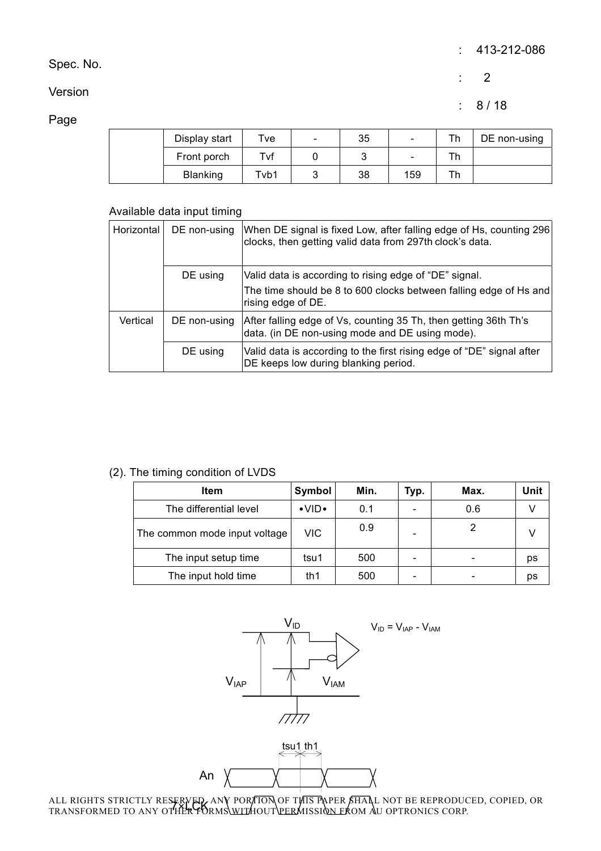|           | $: 413-212-086$ |
|-----------|-----------------|
| Spec. No. | $\therefore$ 2  |
| Version   | : 8/18          |
| Page      |                 |

| Display start | Tve  | $\overline{\phantom{a}}$ | 35 | $\overline{\phantom{0}}$ | Th | DE non-using |
|---------------|------|--------------------------|----|--------------------------|----|--------------|
| Front porch   | Tvf  |                          | ◠  | -                        | Th |              |
| Blanking      | Tvb1 |                          | 38 | 159                      | Th |              |

#### Available data input timing

| Horizontal | DE non-using | When DE signal is fixed Low, after falling edge of Hs, counting 296<br>clocks, then getting valid data from 297th clock's data.                   |
|------------|--------------|---------------------------------------------------------------------------------------------------------------------------------------------------|
|            | DE using     | Valid data is according to rising edge of "DE" signal.<br>The time should be 8 to 600 clocks between falling edge of Hs and<br>rising edge of DE. |
| Vertical   | DE non-using | After falling edge of Vs, counting 35 Th, then getting 36th Th's<br>data. (in DE non-using mode and DE using mode).                               |
|            | DE using     | Valid data is according to the first rising edge of "DE" signal after<br>DE keeps low during blanking period.                                     |

#### (2). The timing condition of LVDS

| <b>Item</b>                   | Symbol              | Min. | Typ.                     | Max. | Unit |
|-------------------------------|---------------------|------|--------------------------|------|------|
| The differential level        | $\cdot$ VID $\cdot$ | 0.1  | $\overline{\phantom{a}}$ | 0.6  |      |
| The common mode input voltage | VIC                 | 0.9  | $\overline{\phantom{0}}$ |      |      |
| The input setup time          | tsu1                | 500  | $\overline{\phantom{0}}$ |      | ps   |
| The input hold time           | th1                 | 500  |                          |      | ps   |



ALL RIGHTS STRICTLY RESERVED. ANY PORTION OF THIS PAPER SHALL NOT BE REPRODUCED, COPIED, OR ALL RIGHTS STRICTLY RESERVED ANY PORTION OF THIS PRPER SHARL NOT BE REPRODUC<br>TRANSFORMED TO ANY OTHER FORMS\WITHOUT\PERMISSION EROM AU OPTRONICS CORP.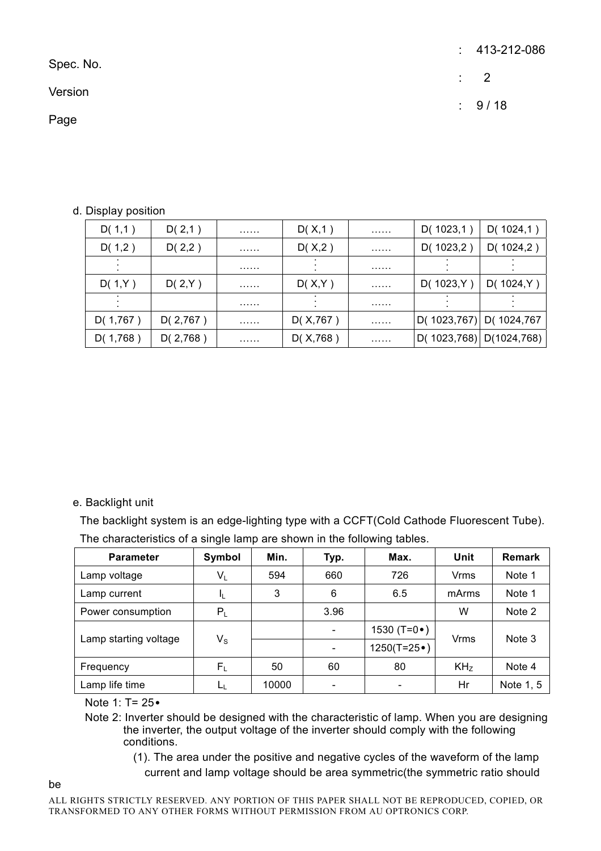| Spec. No. | $: 413 - 212 - 086$ |
|-----------|---------------------|
|           | $\therefore$ 2      |
| Version   | $\frac{1}{2}$ 9/18  |
| Page      |                     |

|  |  | d. Display position |  |
|--|--|---------------------|--|
|--|--|---------------------|--|

| D(1,1)   | D(2,1)   | . | D(X, 1)   | . | D(1023,1)               | D(1024,1)  |
|----------|----------|---|-----------|---|-------------------------|------------|
| D(1,2)   | D(2,2)   | . | D(X,2)    | . | D(1023,2)               | D(1024,2)  |
|          |          | . |           | . |                         |            |
| D(1,Y)   | D(2,Y)   | . | D(X,Y)    | . | D(1023,Y)               | D(1024, Y) |
|          |          | . |           | . |                         |            |
| D(1,767) | D(2,767) | . | D(X, 767) | . | D( 1023, 767)           | D(1024,767 |
| D(1,768) | D(2,768) | . | D(X, 768) | . | D(1023,768) D(1024,768) |            |

#### e. Backlight unit

 The backlight system is an edge-lighting type with a CCFT(Cold Cathode Fluorescent Tube). The characteristics of a single lamp are shown in the following tables.

| <b>Parameter</b>      | Symbol                    | Min.  | Typ. | Max.                  | Unit            | <b>Remark</b> |  |
|-----------------------|---------------------------|-------|------|-----------------------|-----------------|---------------|--|
| Lamp voltage          | $\mathsf{V}_{\mathsf{L}}$ | 594   | 660  | 726                   | Vrms            | Note 1        |  |
| Lamp current          |                           | 3     | 6    | 6.5                   | mArms           | Note 1        |  |
| Power consumption     | $P_L$                     |       | 3.96 |                       | W               | Note 2        |  |
|                       |                           |       |      | $1530 (T = 0 \cdot )$ |                 |               |  |
| Lamp starting voltage | $V_{\rm S}$               |       |      | $1250(T=25)$          | Vrms            | Note 3        |  |
| Frequency             | $\mathsf{F}_\mathsf{L}$   | 50    | 60   | 80                    | KH <sub>z</sub> | Note 4        |  |
| Lamp life time        | ы                         | 10000 |      |                       | Hr              | Note 1, 5     |  |

Note 1: T= 25•

Note 2: Inverter should be designed with the characteristic of lamp. When you are designing the inverter, the output voltage of the inverter should comply with the following conditions.

> (1). The area under the positive and negative cycles of the waveform of the lamp current and lamp voltage should be area symmetric(the symmetric ratio should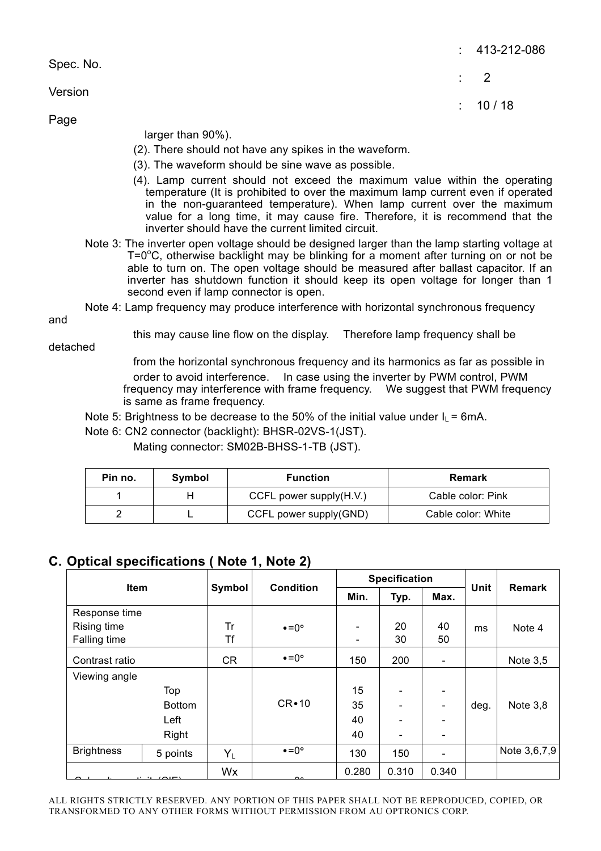Spec. No. : 413-212-086 Version  $\overline{\phantom{0}}$  $: 10/18$ 

Page

larger than 90%).

- (2). There should not have any spikes in the waveform.
- (3). The waveform should be sine wave as possible.
- (4). Lamp current should not exceed the maximum value within the operating temperature (It is prohibited to over the maximum lamp current even if operated in the non-guaranteed temperature). When lamp current over the maximum value for a long time, it may cause fire. Therefore, it is recommend that the inverter should have the current limited circuit.
- Note 3: The inverter open voltage should be designed larger than the lamp starting voltage at  $T = 0^{\circ}$ C, otherwise backlight may be blinking for a moment after turning on or not be able to turn on. The open voltage should be measured after ballast capacitor. If an inverter has shutdown function it should keep its open voltage for longer than 1 second even if lamp connector is open.

Note 4: Lamp frequency may produce interference with horizontal synchronous frequency

and

this may cause line flow on the display. Therefore lamp frequency shall be

detached

 from the horizontal synchronous frequency and its harmonics as far as possible in order to avoid interference. In case using the inverter by PWM control, PWM frequency may interference with frame frequency. We suggest that PWM frequency is same as frame frequency.

Note 5: Brightness to be decrease to the 50% of the initial value under  $I_1 = 6$ mA.

Note 6: CN2 connector (backlight): BHSR-02VS-1(JST).

Mating connector: SM02B-BHSS-1-TB (JST).

| Pin no. | Symbol | <b>Function</b>            | Remark             |
|---------|--------|----------------------------|--------------------|
|         |        | CCFL power supply $(H.V.)$ | Cable color: Pink  |
|         |        | CCFL power supply(GND)     | Cable color: White |

# **C. Optical specifications ( Note 1, Note 2)**

| Item              |                    |                            | <b>Specification</b>  |                          |                              |                          | <b>Remark</b> |              |
|-------------------|--------------------|----------------------------|-----------------------|--------------------------|------------------------------|--------------------------|---------------|--------------|
|                   |                    | <b>Condition</b><br>Symbol |                       | Min.                     | Typ.                         | Max.                     | Unit          |              |
| Response time     |                    |                            |                       |                          |                              |                          |               |              |
| Rising time       |                    | Tr                         | $\bullet = 0^{\circ}$ | $\overline{\phantom{a}}$ | 20                           | 40                       | ms            | Note 4       |
| Falling time      |                    | Tf                         |                       |                          | 30                           | 50                       |               |              |
| Contrast ratio    |                    | <b>CR</b>                  | $\bullet = 0^{\circ}$ | 150                      | 200                          | $\overline{\phantom{a}}$ |               | Note $3,5$   |
| Viewing angle     |                    |                            |                       |                          |                              |                          |               |              |
|                   | Top                |                            |                       | 15                       | $\overline{\phantom{a}}$     | $\blacksquare$           |               |              |
|                   | <b>Bottom</b>      |                            | CR•10                 | 35                       | $\overline{\phantom{0}}$     |                          | deg.          | Note $3,8$   |
|                   | Left               |                            |                       | 40                       | $\qquad \qquad \blacksquare$ |                          |               |              |
|                   | Right              |                            |                       | 40                       | $\qquad \qquad$              |                          |               |              |
| <b>Brightness</b> | 5 points           | $\mathsf{Y}_\mathsf{L}$    | $\bullet = 0^{\circ}$ | 130                      | 150                          | $\blacksquare$           |               | Note 3,6,7,9 |
|                   | $\cdots$<br>$\sim$ | Wx                         | ^^                    | 0.280                    | 0.310                        | 0.340                    |               |              |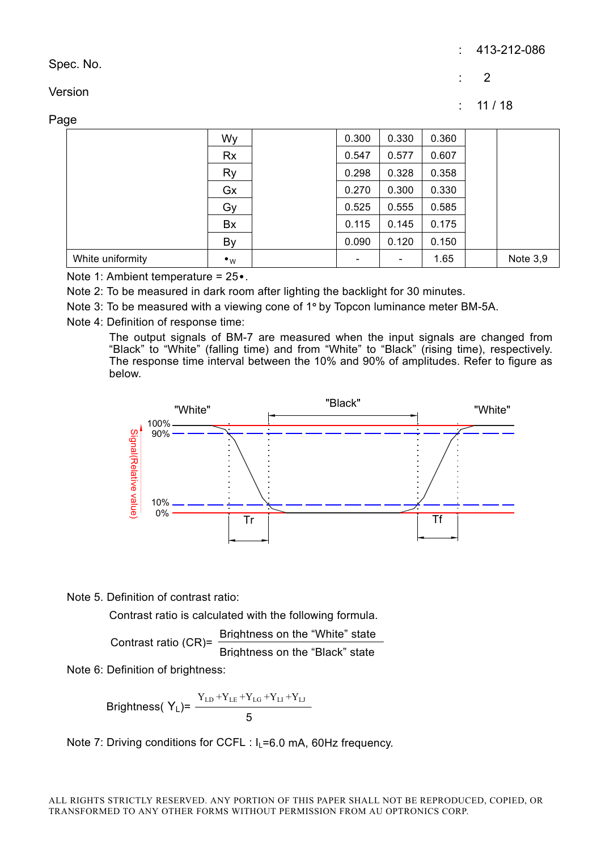|      |                  |                        |                          |                          | ÷     |                | 413-212-086 |
|------|------------------|------------------------|--------------------------|--------------------------|-------|----------------|-------------|
|      | Spec. No.        |                        |                          |                          | ÷     | $\overline{2}$ |             |
|      | Version          |                        |                          |                          |       |                |             |
| Page |                  |                        |                          |                          | ÷.    | 11/18          |             |
|      |                  | Wy                     | 0.300                    | 0.330                    | 0.360 |                |             |
|      |                  | Rx                     | 0.547                    | 0.577                    | 0.607 |                |             |
|      |                  | Ry                     | 0.298                    | 0.328                    | 0.358 |                |             |
|      |                  | Gx                     | 0.270                    | 0.300                    | 0.330 |                |             |
|      |                  | Gy                     | 0.525                    | 0.555                    | 0.585 |                |             |
|      |                  | Bx                     | 0.115                    | 0.145                    | 0.175 |                |             |
|      |                  | By                     | 0.090                    | 0.120                    | 0.150 |                |             |
|      | White uniformity | $\bullet$ <sub>W</sub> | $\overline{\phantom{a}}$ | $\overline{\phantom{a}}$ | 1.65  |                | Note $3,9$  |

Note 1: Ambient temperature = 25•.

Note 2: To be measured in dark room after lighting the backlight for 30 minutes.

Note 3: To be measured with a viewing cone of 1° by Topcon luminance meter BM-5A.

Note 4: Definition of response time:

The output signals of BM-7 are measured when the input signals are changed from "Black" to "White" (falling time) and from "White" to "Black" (rising time), respectively. The response time interval between the 10% and 90% of amplitudes. Refer to figure as below.



Note 5. Definition of contrast ratio:

Contrast ratio is calculated with the following formula.

Brightness on the "White" state Contrast ratio  $(CR) = \frac{B}{B}$  Brightness on the "Black" state

Note 6: Definition of brightness:

$$
\text{Brightness( Y_L)= }\frac{Y_{\text{LD}}+Y_{\text{LE}}+Y_{\text{LG}}+Y_{\text{LI}}+Y_{\text{LI}}}{5}
$$

Note 7: Driving conditions for CCFL : I<sub>L</sub>=6.0 mA, 60Hz frequency.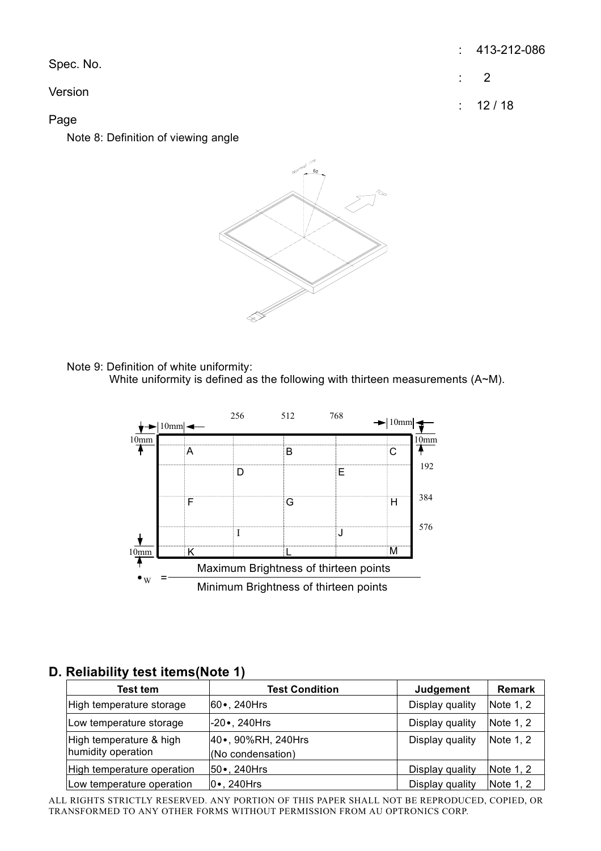| Spec. No. | $\therefore$ 413-212-086 |
|-----------|--------------------------|
|           | $\therefore$ 2           |
| Version   | $\frac{12}{18}$          |

#### Page

Note 8: Definition of viewing angle



Note 9: Definition of white uniformity: White uniformity is defined as the following with thirteen measurements (A~M).



# **D. Reliability test items(Note 1)**

| <b>Test tem</b>                               | <b>Test Condition</b>                    | Judgement       | <b>Remark</b>   |
|-----------------------------------------------|------------------------------------------|-----------------|-----------------|
| High temperature storage                      | 60 •, 240Hrs                             | Display quality | Note 1, 2       |
| Low temperature storage                       | -20•, 240Hrs                             | Display quality | Note 1, 2       |
| High temperature & high<br>humidity operation | 40 •, 90%RH, 240Hrs<br>(No condensation) | Display quality | <b>Note 1.2</b> |
| High temperature operation                    | 50 • 240Hrs                              | Display quality | Note 1, 2       |
| Low temperature operation                     | $ 0 \cdot 240$ Hrs                       | Display quality | Note 1, 2       |

ALL RIGHTS STRICTLY RESERVED. ANY PORTION OF THIS PAPER SHALL NOT BE REPRODUCED, COPIED, OR TRANSFORMED TO ANY OTHER FORMS WITHOUT PERMISSION FROM AU OPTRONICS CORP.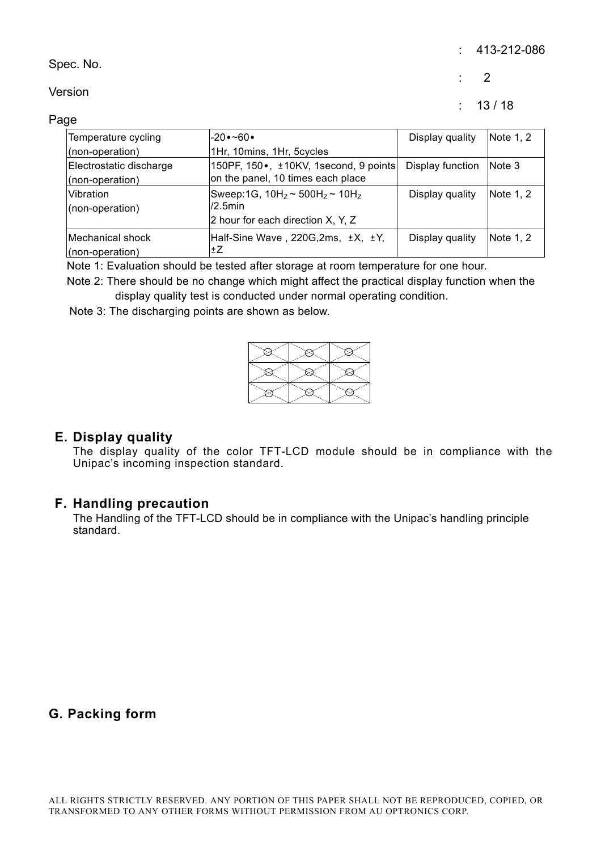|           | $: 413 - 212 - 086$ |
|-----------|---------------------|
| Spec. No. | $\therefore$ 2      |
| Version   | $\therefore$ 13/18  |

| Temperature cycling                        | -20∙~60∙                                                                                  | Display quality  | Note 1, 2 |
|--------------------------------------------|-------------------------------------------------------------------------------------------|------------------|-----------|
| (non-operation)                            | 1Hr, 10mins, 1Hr, 5cycles                                                                 |                  |           |
| Electrostatic discharge<br>(non-operation) | 150PF, 150•, ±10KV, 1second, 9 points<br>on the panel, 10 times each place                | Display function | Note 3    |
| <b>Vibration</b><br>(non-operation)        | Sweep:1G, $10H_7 \sim 500H_7 \sim 10H_7$<br>l/2.5min<br>2 hour for each direction X, Y, Z | Display quality  | Note 1, 2 |
| lMechanical shock<br>(non-operation)       | Half-Sine Wave, 220G,2ms, ±X, ±Y,<br>$\pm Z$                                              | Display quality  | Note 1, 2 |

Note 1: Evaluation should be tested after storage at room temperature for one hour.

Note 2: There should be no change which might affect the practical display function when the display quality test is conducted under normal operating condition.

Note 3: The discharging points are shown as below.

#### **E. Display quality**

Page

The display quality of the color TFT-LCD module should be in compliance with the Unipac's incoming inspection standard.

#### **F. Handling precaution**

The Handling of the TFT-LCD should be in compliance with the Unipac's handling principle standard.

## **G. Packing form**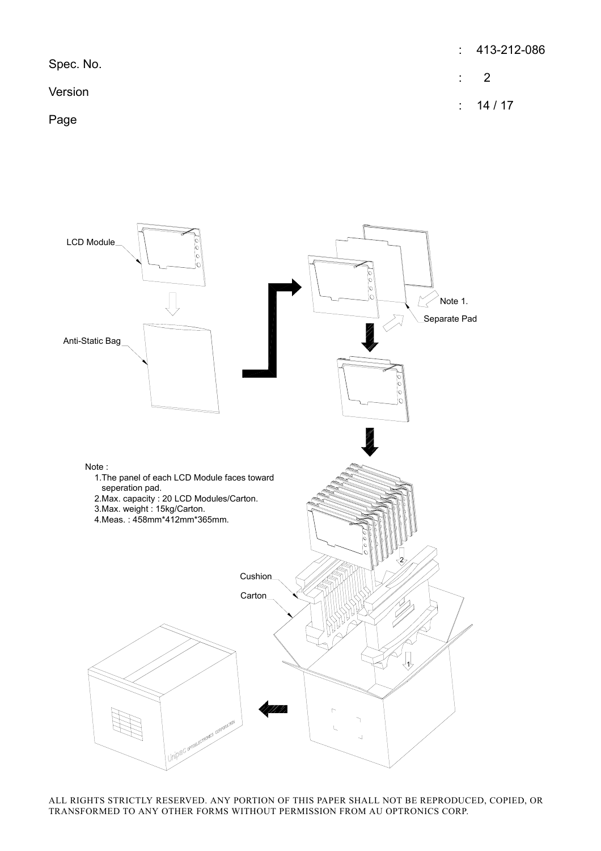Version

Page

: 413-212-086

: 2

:  $14/17$ 

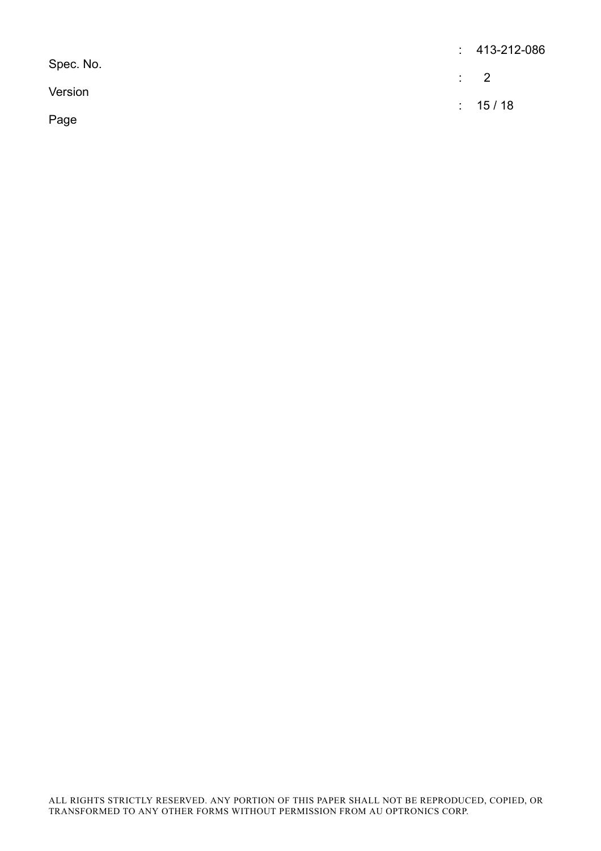|           | $: 413 - 212 - 086$ |
|-----------|---------------------|
| Spec. No. | $\therefore$ 2      |
| Version   | : 15/18             |
| Page      |                     |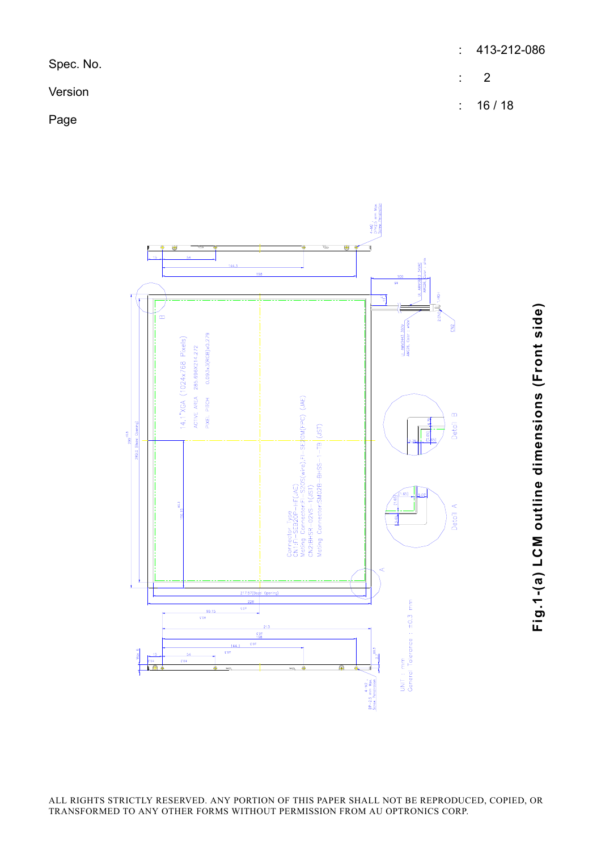Version

Page

: 413-212-086

: 2

 $: 16 / 18$ 



**Fig.1-(a) LCM outline dimensions (Front side)** Fig.1-(a) LCM outline nimensions (Front side)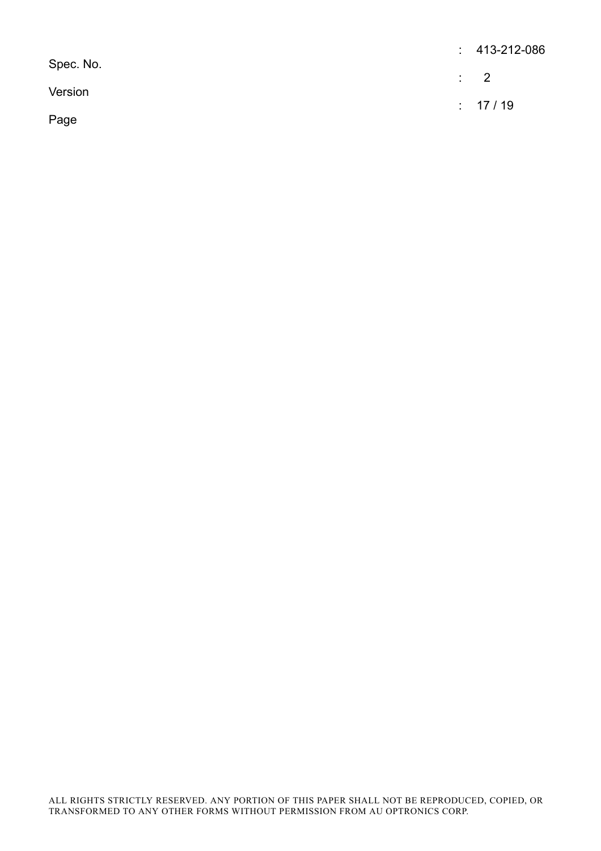|           | $: 413 - 212 - 086$ |
|-----------|---------------------|
| Spec. No. | $\therefore$ 2      |
| Version   | : 17/19             |
| Page      |                     |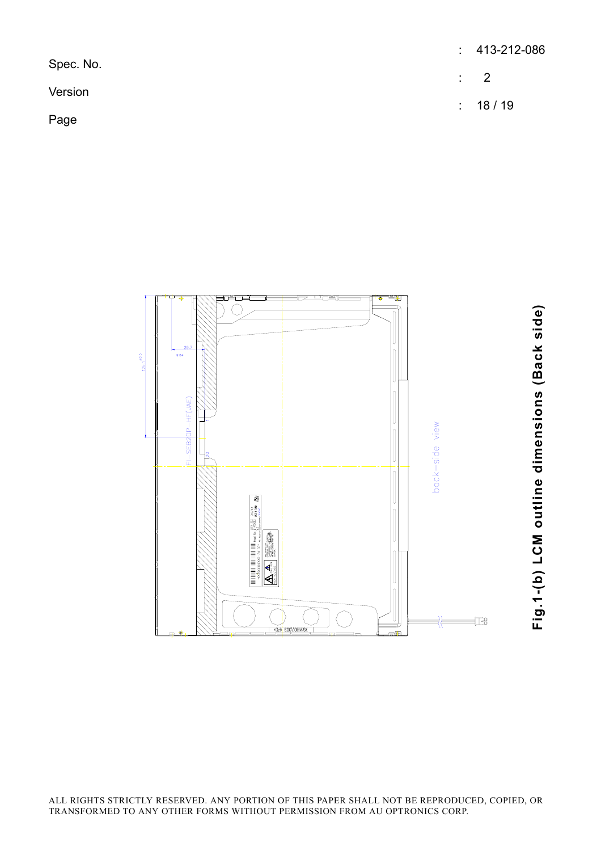|           | $: 413 - 212 - 086$ |
|-----------|---------------------|
| Spec. No. | $\therefore$ 2      |
| Version   | : 18/19             |
| Page      |                     |



ALL RIGHTS STRICTLY RESERVED. ANY PORTION OF THIS PAPER SHALL NOT BE REPRODUCED, COPIED, OR TRANSFORMED TO ANY OTHER FORMS WITHOUT PERMISSION FROM AU OPTRONICS CORP.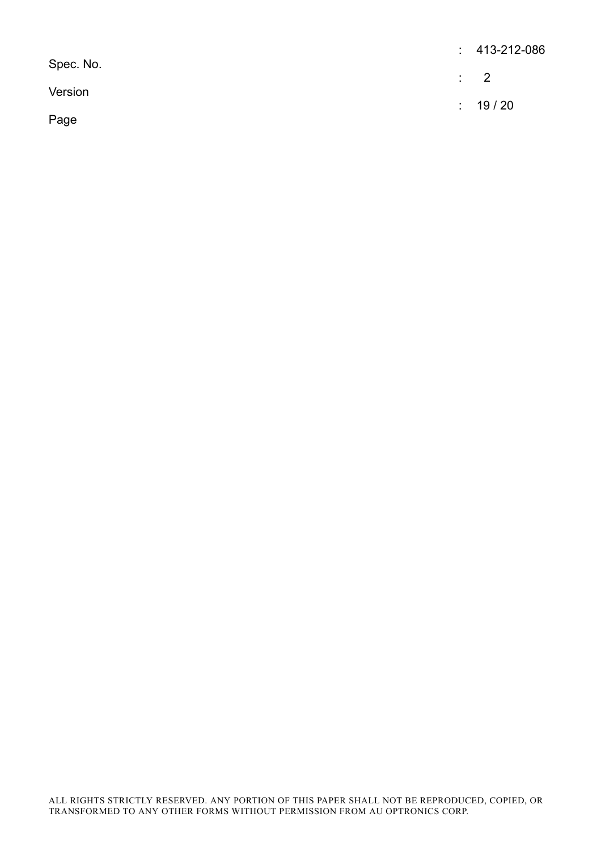|           |     | $: 413 - 212 - 086$ |
|-----------|-----|---------------------|
| Spec. No. |     | $\therefore$ 2      |
| Version   | ×., | 19/20               |
| Page      |     |                     |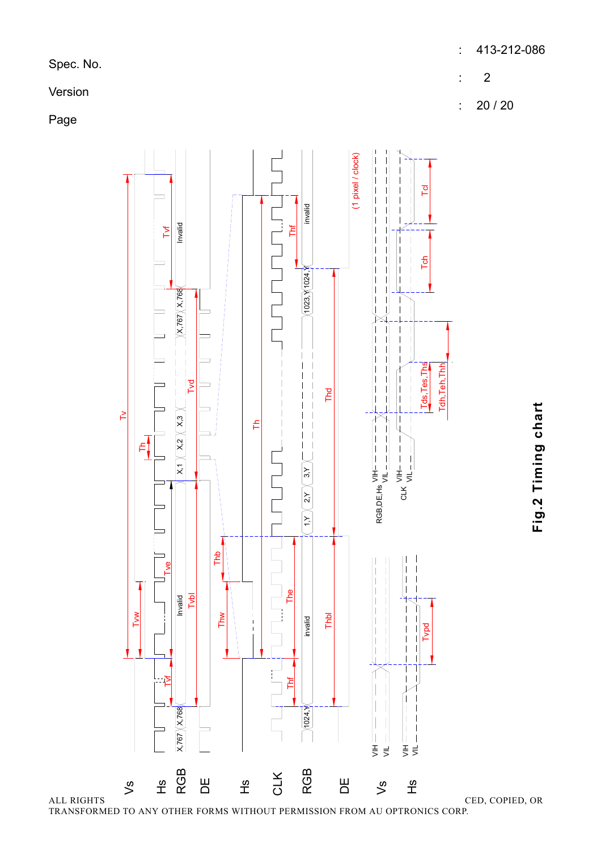Version

Page



 $: 20/20$ 



TRANSFORMED TO ANY OTHER FORMS WITHOUT PERMISSION FROM AU OPTRONICS CORP.

**Fig.2 Timing chart**  Fig.2 Timing chart